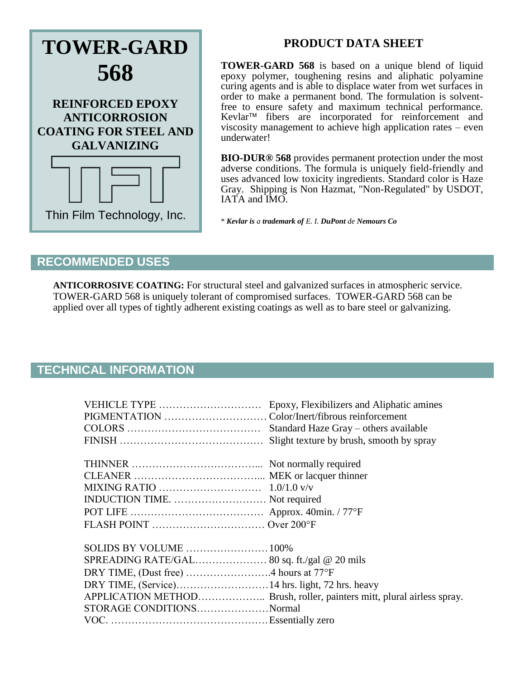

# **PRODUCT DATA SHEET**

**TOWER-GARD 568** is based on a unique blend of liquid epoxy polymer, toughening resins and aliphatic polyamine curing agents and is able to displace water from wet surfaces in order to make a permanent bond. The formulation is solventfree to ensure safety and maximum technical performance. Kevlar<sup>™</sup> fibers are incorporated for reinforcement and viscosity management to achieve high application rates – even underwater!

**BIO-DUR® 568** provides permanent protection under the most adverse conditions. The formula is uniquely field-friendly and uses advanced low toxicity ingredients. Standard color is Haze Gray. Shipping is Non Hazmat, "Non-Regulated" by USDOT, IATA and IMO.

\* *Kevlar is a trademark of E. I. DuPont de Nemours Co*

### **RECOMMENDED USES**

**ANTICORROSIVE COATING:** For structural steel and galvanized surfaces in atmospheric service. TOWER-GARD 568 is uniquely tolerant of compromised surfaces. TOWER-GARD 568 can be applied over all types of tightly adherent existing coatings as well as to bare steel or galvanizing.

# **TECHNICAL INFORMATION**

| VEHICLE TYPE                  | Epoxy, Flexibilizers and Aliphatic amines |
|-------------------------------|-------------------------------------------|
|                               |                                           |
|                               | Standard Haze Gray – others available     |
|                               | Slight texture by brush, smooth by spray  |
|                               |                                           |
|                               |                                           |
|                               |                                           |
|                               |                                           |
| INDUCTION TIME.  Not required |                                           |
|                               |                                           |
|                               |                                           |
|                               |                                           |
|                               |                                           |
|                               |                                           |
|                               |                                           |
|                               |                                           |
|                               |                                           |
| STORAGE CONDITIONSNormal      |                                           |
|                               |                                           |
|                               |                                           |